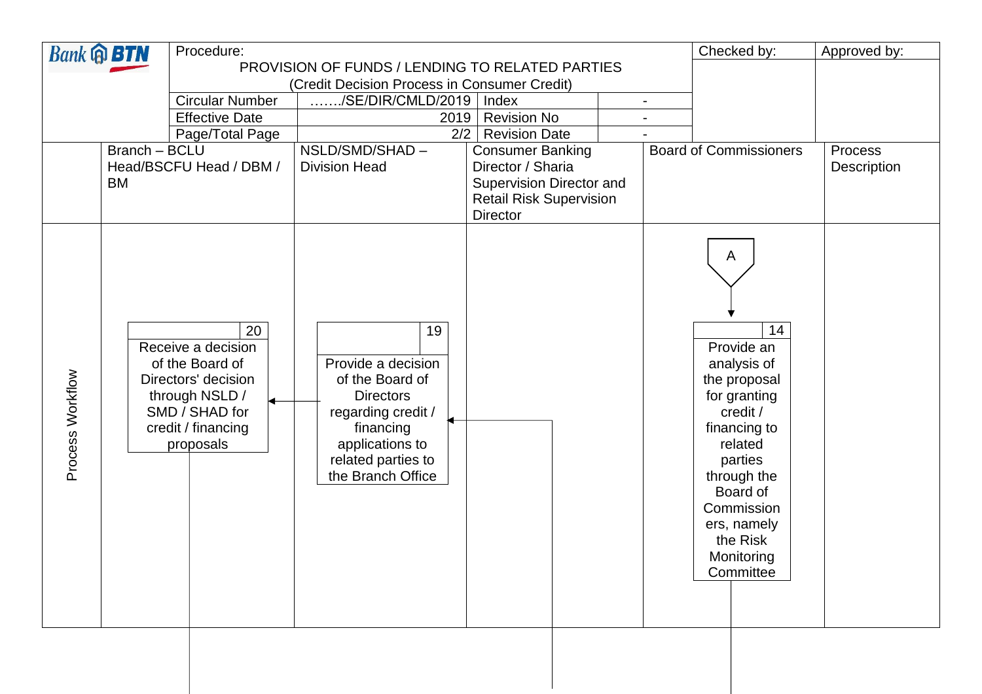| <b>Bank @ BTN</b> |               | Procedure:                                                                                                                                             |                                                                                                                                                                  |                                                 |  | Checked by:                                                                                                                                                                                                           | Approved by: |
|-------------------|---------------|--------------------------------------------------------------------------------------------------------------------------------------------------------|------------------------------------------------------------------------------------------------------------------------------------------------------------------|-------------------------------------------------|--|-----------------------------------------------------------------------------------------------------------------------------------------------------------------------------------------------------------------------|--------------|
|                   |               | PROVISION OF FUNDS / LENDING TO RELATED PARTIES                                                                                                        |                                                                                                                                                                  |                                                 |  |                                                                                                                                                                                                                       |              |
|                   |               |                                                                                                                                                        | (Credit Decision Process in Consumer Credit)                                                                                                                     |                                                 |  |                                                                                                                                                                                                                       |              |
|                   |               | <b>Circular Number</b>                                                                                                                                 | ./SE/DIR/CMLD/2019<br>Index                                                                                                                                      |                                                 |  |                                                                                                                                                                                                                       |              |
|                   |               | <b>Effective Date</b>                                                                                                                                  | <b>Revision No</b><br>2019<br>2/2                                                                                                                                |                                                 |  |                                                                                                                                                                                                                       |              |
|                   | Branch - BCLU | Page/Total Page                                                                                                                                        | NSLD/SMD/SHAD-                                                                                                                                                   | <b>Revision Date</b><br><b>Consumer Banking</b> |  | <b>Board of Commissioners</b>                                                                                                                                                                                         | Process      |
|                   |               | Head/BSCFU Head / DBM /                                                                                                                                | <b>Division Head</b>                                                                                                                                             | Director / Sharia                               |  |                                                                                                                                                                                                                       | Description  |
|                   | <b>BM</b>     |                                                                                                                                                        |                                                                                                                                                                  | Supervision Director and                        |  |                                                                                                                                                                                                                       |              |
|                   |               |                                                                                                                                                        |                                                                                                                                                                  | <b>Retail Risk Supervision</b>                  |  |                                                                                                                                                                                                                       |              |
|                   |               |                                                                                                                                                        | <b>Director</b>                                                                                                                                                  |                                                 |  |                                                                                                                                                                                                                       |              |
| Process Workflow  |               | $\overline{20}$<br>Receive a decision<br>of the Board of<br>Directors' decision<br>through NSLD /<br>SMD / SHAD for<br>credit / financing<br>proposals | 19<br>Provide a decision<br>of the Board of<br><b>Directors</b><br>regarding credit /<br>financing<br>applications to<br>related parties to<br>the Branch Office |                                                 |  | A<br>14<br>Provide an<br>analysis of<br>the proposal<br>for granting<br>credit /<br>financing to<br>related<br>parties<br>through the<br>Board of<br>Commission<br>ers, namely<br>the Risk<br>Monitoring<br>Committee |              |

a shekara